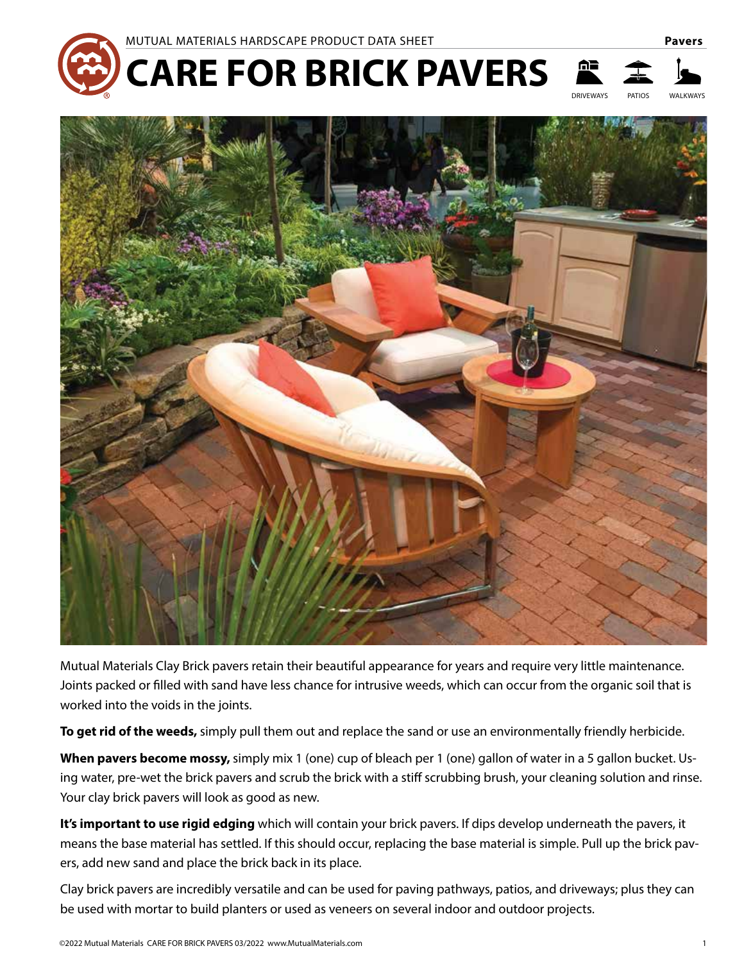

DRIVEWAYS PATIOS WALKWAYS





Mutual Materials Clay Brick pavers retain their beautiful appearance for years and require very little maintenance. Joints packed or filled with sand have less chance for intrusive weeds, which can occur from the organic soil that is worked into the voids in the joints.

**To get rid of the weeds,** simply pull them out and replace the sand or use an environmentally friendly herbicide.

**When pavers become mossy,** simply mix 1 (one) cup of bleach per 1 (one) gallon of water in a 5 gallon bucket. Using water, pre-wet the brick pavers and scrub the brick with a stiff scrubbing brush, your cleaning solution and rinse. Your clay brick pavers will look as good as new.

**It's important to use rigid edging** which will contain your brick pavers. If dips develop underneath the pavers, it means the base material has settled. If this should occur, replacing the base material is simple. Pull up the brick pavers, add new sand and place the brick back in its place.

Clay brick pavers are incredibly versatile and can be used for paving pathways, patios, and driveways; plus they can be used with mortar to build planters or used as veneers on several indoor and outdoor projects.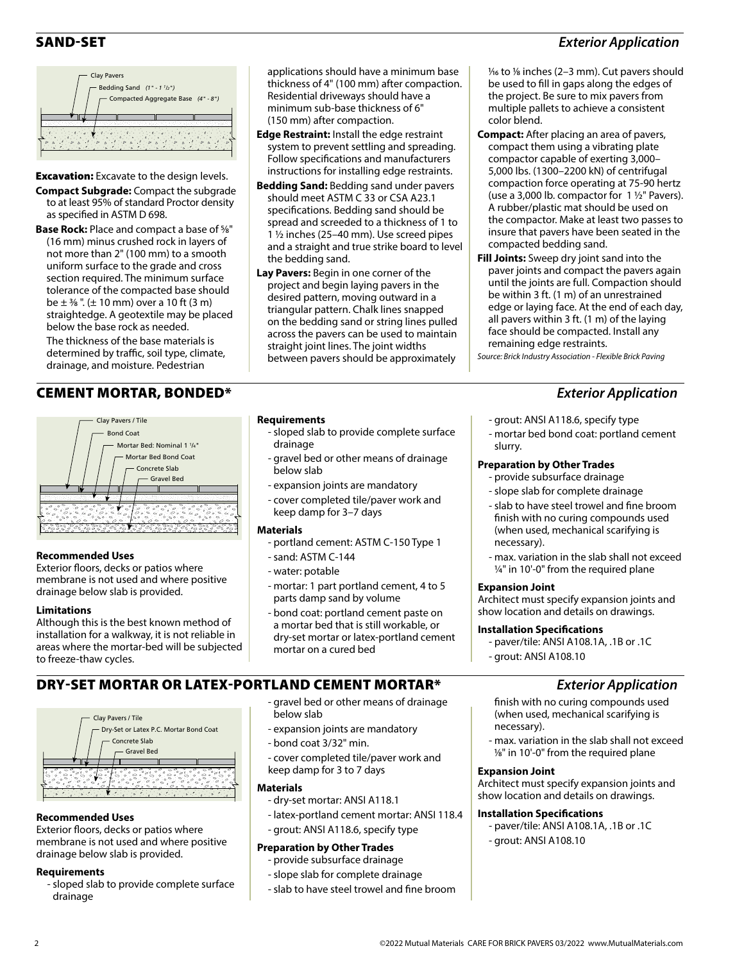# SAND-SET *Exterior Application*



**Excavation:** Excavate to the design levels.

- **Compact Subgrade:** Compact the subgrade to at least 95% of standard Proctor density as specified in ASTM D 698.
- **Base Rock:** Place and compact a base of 5⁄8" (16 mm) minus crushed rock in layers of not more than 2" (100 mm) to a smooth uniform surface to the grade and cross section required. The minimum surface tolerance of the compacted base should be  $\pm$  3/8". ( $\pm$  10 mm) over a 10 ft (3 m) straightedge. A geotextile may be placed below the base rock as needed.

The thickness of the base materials is determined by traffic, soil type, climate, drainage, and moisture. Pedestrian

# CEMENT MORTAR, BONDED\* *Exterior Application*



# **Recommended Uses**

Exterior floors, decks or patios where membrane is not used and where positive drainage below slab is provided.

## **Limitations**

Although this is the best known method of installation for a walkway, it is not reliable in areas where the mortar-bed will be subjected to freeze-thaw cycles.

# DRY-SET MORTAR OR LATEX-PORTLAND CEMENT MORTAR\* *Exterior Application*



## **Recommended Uses**

Exterior floors, decks or patios where membrane is not used and where positive drainage below slab is provided.

## **Requirements**

- sloped slab to provide complete surface drainage

applications should have a minimum base thickness of 4" (100 mm) after compaction. Residential driveways should have a minimum sub-base thickness of 6" (150 mm) after compaction.

- **Edge Restraint:** Install the edge restraint system to prevent settling and spreading. Follow specifications and manufacturers instructions for installing edge restraints.
- **Bedding Sand:** Bedding sand under pavers should meet ASTM C 33 or CSA A23.1 specifications. Bedding sand should be spread and screeded to a thickness of 1 to 1 ½ inches (25–40 mm). Use screed pipes and a straight and true strike board to level the bedding sand.
- **Lay Pavers:** Begin in one corner of the project and begin laying pavers in the desired pattern, moving outward in a triangular pattern. Chalk lines snapped on the bedding sand or string lines pulled across the pavers can be used to maintain straight joint lines. The joint widths between pavers should be approximately

## **Requirements**

- sloped slab to provide complete surface drainage
- gravel bed or other means of drainage below slab
- expansion joints are mandatory
- cover completed tile/paver work and keep damp for 3–7 days

## **Materials**

- portland cement: ASTM C-150 Type 1
- sand: ASTM C-144
- water: potable

below slab

**Materials** 

- bond coat 3/32" min.

keep damp for 3 to 7 days

**Preparation by Other Trades** - provide subsurface drainage - slope slab for complete drainage - slab to have steel trowel and fine broom

- dry-set mortar: ANSI A118.1

- grout: ANSI A118.6, specify type

- mortar: 1 part portland cement, 4 to 5 parts damp sand by volume
- bond coat: portland cement paste on a mortar bed that is still workable, or dry-set mortar or latex-portland cement mortar on a cured bed

- gravel bed or other means of drainage

- cover completed tile/paver work and

- latex-portland cement mortar: ANSI 118.4

- expansion joints are mandatory

#### 1⁄16 to 1⁄8 inches (2–3 mm). Cut pavers should be used to fill in gaps along the edges of the project. Be sure to mix pavers from multiple pallets to achieve a consistent color blend.

- **Compact:** After placing an area of pavers, compact them using a vibrating plate compactor capable of exerting 3,000– 5,000 lbs. (1300–2200 kN) of centrifugal compaction force operating at 75-90 hertz (use a 3,000 lb. compactor for  $1 \frac{1}{2}$ " Pavers). A rubber/plastic mat should be used on the compactor. Make at least two passes to insure that pavers have been seated in the compacted bedding sand.
- **Fill Joints:** Sweep dry joint sand into the paver joints and compact the pavers again until the joints are full. Compaction should be within 3 ft. (1 m) of an unrestrained edge or laying face. At the end of each day, all pavers within 3 ft. (1 m) of the laying face should be compacted. Install any remaining edge restraints.

*Source: Brick Industry Association - Flexible Brick Paving*

- grout: ANSI A118.6, specify type
- mortar bed bond coat: portland cement slurry.

# **Preparation by Other Trades**

- provide subsurface drainage
- slope slab for complete drainage
- slab to have steel trowel and fine broom finish with no curing compounds used (when used, mechanical scarifying is necessary).
- max. variation in the slab shall not exceed ¼" in 10'-0" from the required plane

# **Expansion Joint**

Architect must specify expansion joints and show location and details on drawings.

# **Installation Specifications**

- paver/tile: ANSI A108.1A, .1B or .1C
- grout: ANSI A108.10

- finish with no curing compounds used (when used, mechanical scarifying is necessary).
- max. variation in the slab shall not exceed 1⁄8" in 10'-0" from the required plane

# **Expansion Joint**

Architect must specify expansion joints and show location and details on drawings.

# **Installation Specifications**

- paver/tile: ANSI A108.1A, .1B or .1C - grout: ANSI A108.10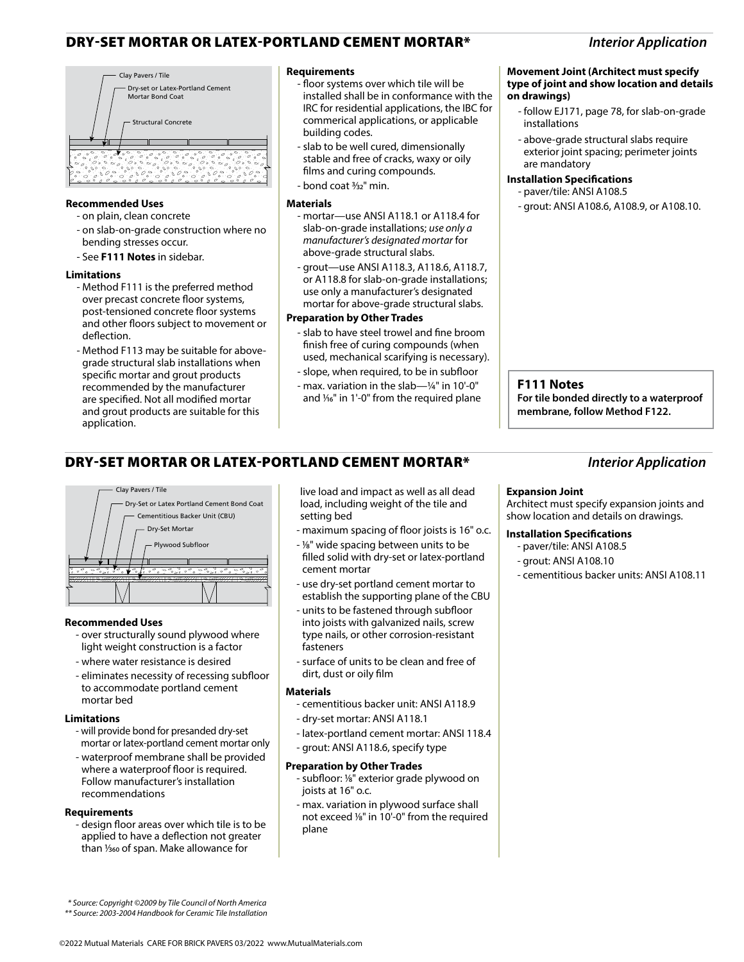# DRY-SET MORTAR OR LATEX-PORTLAND CEMENT MORTAR\* *Interior Application*



### **Recommended Uses**

- on plain, clean concrete
- on slab-on-grade construction where no bending stresses occur.
- See **F111 Notes** in sidebar.

### **Limitations**

- Method F111 is the preferred method over precast concrete floor systems, post-tensioned concrete floor systems and other floors subject to movement or deflection.
- Method F113 may be suitable for abovegrade structural slab installations when specific mortar and grout products recommended by the manufacturer are specified. Not all modified mortar and grout products are suitable for this application.

### **Requirements**

- floor systems over which tile will be installed shall be in conformance with the IRC for residential applications, the IBC for commerical applications, or applicable building codes.
- slab to be well cured, dimensionally stable and free of cracks, waxy or oily films and curing compounds.
- bond coat 3⁄32" min.

#### **Materials**

- mortar—use ANSI A118.1 or A118.4 for slab-on-grade installations; *use only a manufacturer's designated mortar* for above-grade structural slabs.
- grout—use ANSI A118.3, A118.6, A118.7, or A118.8 for slab-on-grade installations; use only a manufacturer's designated mortar for above-grade structural slabs.

### **Preparation by Other Trades**

- slab to have steel trowel and fine broom finish free of curing compounds (when used, mechanical scarifying is necessary).
- slope, when required, to be in subfloor
- max. variation in the slab—¼" in 10'-0" and  $\frac{1}{6}$ " in 1'-0" from the required plane

#### **Movement Joint (Architect must specify type of joint and show location and details on drawings)**

- follow EJ171, page 78, for slab-on-grade installations
- above-grade structural slabs require exterior joint spacing; perimeter joints are mandatory

## **Installation Specifications**

- paver/tile: ANSI A108.5
- grout: ANSI A108.6, A108.9, or A108.10.

### **F111 Notes**

**For tile bonded directly to a waterproof membrane, follow Method F122.**

# DRY-SET MORTAR OR LATEX-PORTLAND CEMENT MORTAR\* *Interior Application*



### **Recommended Uses**

- over structurally sound plywood where light weight construction is a factor
- where water resistance is desired
- eliminates necessity of recessing subfloor to accommodate portland cement mortar bed

### **Limitations**

- will provide bond for presanded dry-set mortar or latex-portland cement mortar only
- waterproof membrane shall be provided where a waterproof floor is required. Follow manufacturer's installation recommendations

### **Requirements**

- design floor areas over which tile is to be applied to have a deflection not greater than <sup>1</sup>/<sub>360</sub> of span. Make allowance for

live load and impact as well as all dead load, including weight of the tile and setting bed

- maximum spacing of floor joists is 16" o.c.
- 1⁄8" wide spacing between units to be filled solid with dry-set or latex-portland cement mortar
- use dry-set portland cement mortar to establish the supporting plane of the CBU
- units to be fastened through subfloor into joists with galvanized nails, screw type nails, or other corrosion-resistant fasteners
- surface of units to be clean and free of dirt, dust or oily film

### **Materials**

- cementitious backer unit: ANSI A118.9
- dry-set mortar: ANSI A118.1
- latex-portland cement mortar: ANSI 118.4
- grout: ANSI A118.6, specify type

### **Preparation by Other Trades**

- subfloor: 1⁄8" exterior grade plywood on joists at 16" o.c.
- max. variation in plywood surface shall not exceed 1/8" in 10'-0" from the required plane

### **Expansion Joint**

Architect must specify expansion joints and show location and details on drawings.

### **Installation Specifications**

- paver/tile: ANSI A108.5
- grout: ANSI A108.10
- cementitious backer units: ANSI A108.11

 *\* Source: Copyright ©2009 by Tile Council of North America*

*<sup>\*\*</sup> Source: 2003-2004 Handbook for Ceramic Tile Installation*